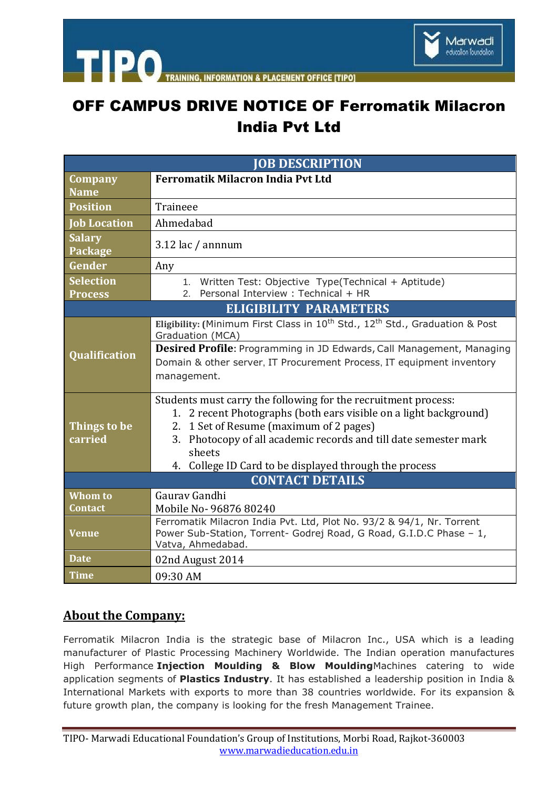

**PLACEMENT OFFICE ITIPO1 INFORMATION** 

## OFF CAMPUS DRIVE NOTICE OF Ferromatik Milacron India Pvt Ltd

| <b>JOB DESCRIPTION</b>             |                                                                                                                                                                                                                                                              |
|------------------------------------|--------------------------------------------------------------------------------------------------------------------------------------------------------------------------------------------------------------------------------------------------------------|
| Company                            | <b>Ferromatik Milacron India Pvt Ltd</b>                                                                                                                                                                                                                     |
| <b>Name</b>                        |                                                                                                                                                                                                                                                              |
| <b>Position</b>                    | Traineee                                                                                                                                                                                                                                                     |
| <b>Job Location</b>                | Ahmedabad                                                                                                                                                                                                                                                    |
| <b>Salary</b><br>Package           | $3.12$ lac / annnum                                                                                                                                                                                                                                          |
| Gender                             | Any                                                                                                                                                                                                                                                          |
| <b>Selection</b><br><b>Process</b> | Written Test: Objective Type(Technical + Aptitude)<br>$1_{-}$<br>Personal Interview : Technical + HR<br>2.                                                                                                                                                   |
| <b>ELIGIBILITY PARAMETERS</b>      |                                                                                                                                                                                                                                                              |
| <b>Qualification</b>               | Eligibility: (Minimum First Class in 10 <sup>th</sup> Std., 12 <sup>th</sup> Std., Graduation & Post<br>Graduation (MCA)                                                                                                                                     |
|                                    | Desired Profile: Programming in JD Edwards, Call Management, Managing                                                                                                                                                                                        |
|                                    | Domain & other server, IT Procurement Process, IT equipment inventory<br>management.                                                                                                                                                                         |
| Things to be<br>carried            | Students must carry the following for the recruitment process:<br>1. 2 recent Photographs (both ears visible on a light background)<br>2. 1 Set of Resume (maximum of 2 pages)<br>3. Photocopy of all academic records and till date semester mark<br>sheets |
|                                    | 4. College ID Card to be displayed through the process                                                                                                                                                                                                       |
| <b>CONTACT DETAILS</b>             |                                                                                                                                                                                                                                                              |
| Whom to                            | Gauray Gandhi                                                                                                                                                                                                                                                |
| <b>Contact</b>                     | Mobile No- 96876 80240                                                                                                                                                                                                                                       |
| <b>Venue</b>                       | Ferromatik Milacron India Pvt. Ltd, Plot No. 93/2 & 94/1, Nr. Torrent<br>Power Sub-Station, Torrent- Godrej Road, G Road, G.I.D.C Phase - 1,<br>Vatva, Ahmedabad.                                                                                            |
| <b>Date</b>                        | 02nd August 2014                                                                                                                                                                                                                                             |
| <b>Time</b>                        | 09:30 AM                                                                                                                                                                                                                                                     |

## **About the Company:**

Ferromatik Milacron India is the strategic base of Milacron Inc., USA which is a leading manufacturer of Plastic Processing Machinery Worldwide. The Indian operation manufactures High Performance **Injection Moulding & Blow Moulding**Machines catering to wide application segments of **Plastics Industry**. It has established a leadership position in India & International Markets with exports to more than 38 countries worldwide. For its expansion & future growth plan, the company is looking for the fresh Management Trainee.